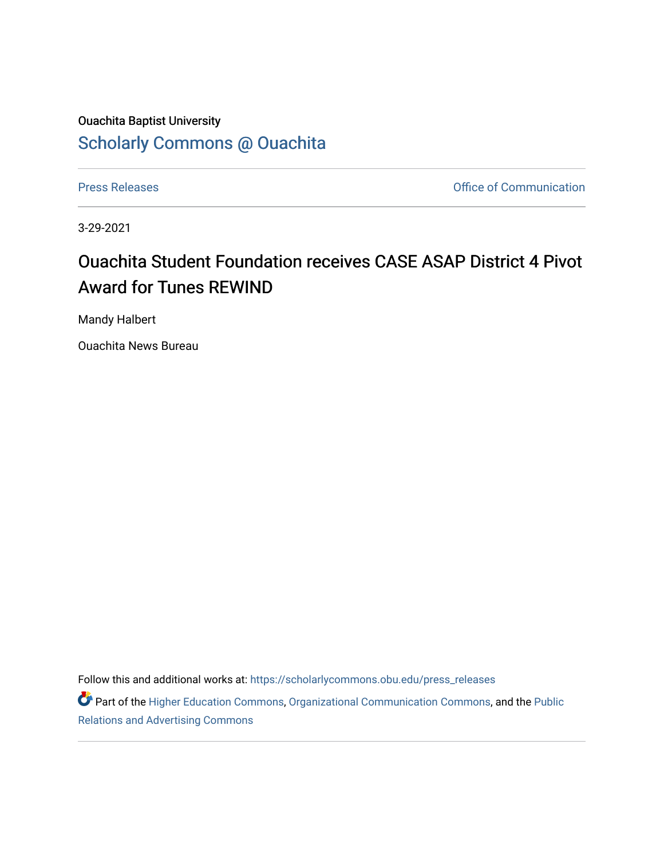## Ouachita Baptist University [Scholarly Commons @ Ouachita](https://scholarlycommons.obu.edu/)

[Press Releases](https://scholarlycommons.obu.edu/press_releases) **Press Releases Communication Press Releases Office of Communication** 

3-29-2021

## Ouachita Student Foundation receives CASE ASAP District 4 Pivot Award for Tunes REWIND

Mandy Halbert

Ouachita News Bureau

Follow this and additional works at: [https://scholarlycommons.obu.edu/press\\_releases](https://scholarlycommons.obu.edu/press_releases?utm_source=scholarlycommons.obu.edu%2Fpress_releases%2F781&utm_medium=PDF&utm_campaign=PDFCoverPages)

Part of the [Higher Education Commons,](http://network.bepress.com/hgg/discipline/1245?utm_source=scholarlycommons.obu.edu%2Fpress_releases%2F781&utm_medium=PDF&utm_campaign=PDFCoverPages) [Organizational Communication Commons,](http://network.bepress.com/hgg/discipline/335?utm_source=scholarlycommons.obu.edu%2Fpress_releases%2F781&utm_medium=PDF&utm_campaign=PDFCoverPages) and the [Public](http://network.bepress.com/hgg/discipline/336?utm_source=scholarlycommons.obu.edu%2Fpress_releases%2F781&utm_medium=PDF&utm_campaign=PDFCoverPages) [Relations and Advertising Commons](http://network.bepress.com/hgg/discipline/336?utm_source=scholarlycommons.obu.edu%2Fpress_releases%2F781&utm_medium=PDF&utm_campaign=PDFCoverPages)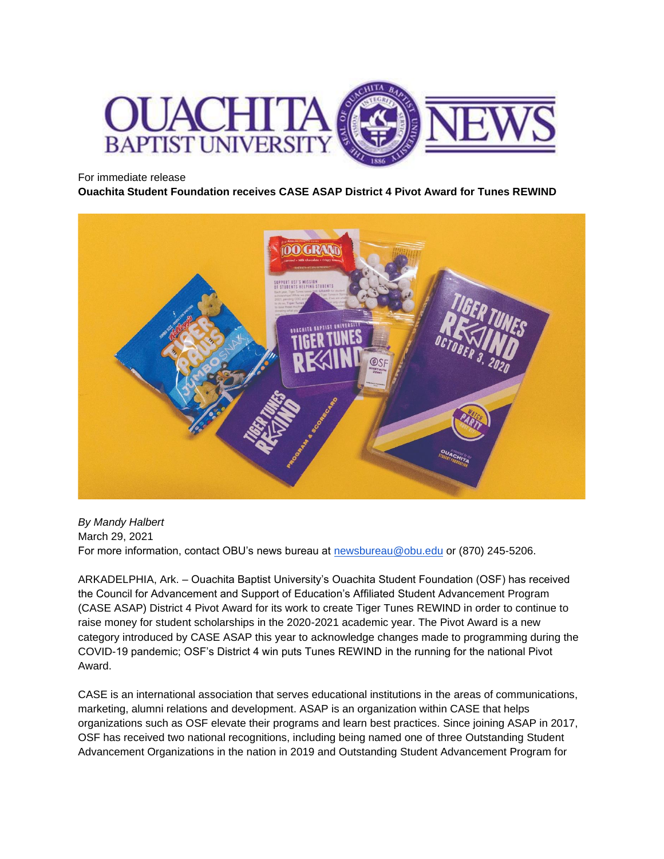

For immediate release

**Ouachita Student Foundation receives CASE ASAP District 4 Pivot Award for Tunes REWIND**



*By Mandy Halbert* March 29, 2021 For more information, contact OBU's news bureau at [newsbureau@obu.edu](mailto:newsbureau@obu.edu) or (870) 245-5206.

ARKADELPHIA, Ark. – Ouachita Baptist University's Ouachita Student Foundation (OSF) has received the Council for Advancement and Support of Education's Affiliated Student Advancement Program (CASE ASAP) District 4 Pivot Award for its work to create Tiger Tunes REWIND in order to continue to raise money for student scholarships in the 2020-2021 academic year. The Pivot Award is a new category introduced by CASE ASAP this year to acknowledge changes made to programming during the COVID-19 pandemic; OSF's District 4 win puts Tunes REWIND in the running for the national Pivot Award.

CASE is an international association that serves educational institutions in the areas of communications, marketing, alumni relations and development. ASAP is an organization within CASE that helps organizations such as OSF elevate their programs and learn best practices. Since joining ASAP in 2017, OSF has received two national recognitions, including being named one of three Outstanding Student Advancement Organizations in the nation in 2019 and Outstanding Student Advancement Program for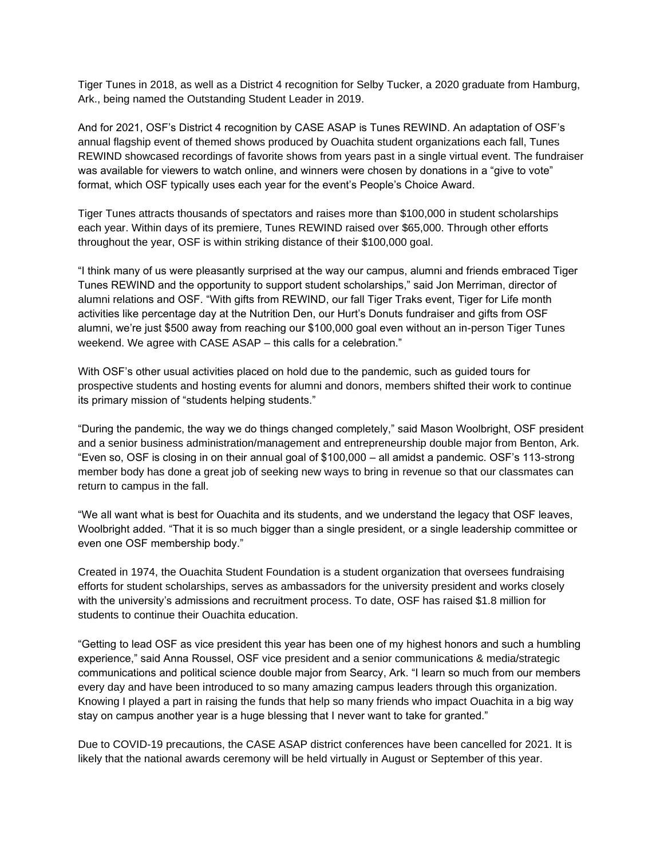Tiger Tunes in 2018, as well as a District 4 recognition for Selby Tucker, a 2020 graduate from Hamburg, Ark., being named the Outstanding Student Leader in 2019.

And for 2021, OSF's District 4 recognition by CASE ASAP is Tunes REWIND. An adaptation of OSF's annual flagship event of themed shows produced by Ouachita student organizations each fall, Tunes REWIND showcased recordings of favorite shows from years past in a single virtual event. The fundraiser was available for viewers to watch online, and winners were chosen by donations in a "give to vote" format, which OSF typically uses each year for the event's People's Choice Award.

Tiger Tunes attracts thousands of spectators and raises more than \$100,000 in student scholarships each year. Within days of its premiere, Tunes REWIND raised over \$65,000. Through other efforts throughout the year, OSF is within striking distance of their \$100,000 goal.

"I think many of us were pleasantly surprised at the way our campus, alumni and friends embraced Tiger Tunes REWIND and the opportunity to support student scholarships," said Jon Merriman, director of alumni relations and OSF. "With gifts from REWIND, our fall Tiger Traks event, Tiger for Life month activities like percentage day at the Nutrition Den, our Hurt's Donuts fundraiser and gifts from OSF alumni, we're just \$500 away from reaching our \$100,000 goal even without an in-person Tiger Tunes weekend. We agree with CASE ASAP – this calls for a celebration."

With OSF's other usual activities placed on hold due to the pandemic, such as guided tours for prospective students and hosting events for alumni and donors, members shifted their work to continue its primary mission of "students helping students."

"During the pandemic, the way we do things changed completely," said Mason Woolbright, OSF president and a senior business administration/management and entrepreneurship double major from Benton, Ark. "Even so, OSF is closing in on their annual goal of \$100,000 – all amidst a pandemic. OSF's 113-strong member body has done a great job of seeking new ways to bring in revenue so that our classmates can return to campus in the fall.

"We all want what is best for Ouachita and its students, and we understand the legacy that OSF leaves, Woolbright added. "That it is so much bigger than a single president, or a single leadership committee or even one OSF membership body."

Created in 1974, the Ouachita Student Foundation is a student organization that oversees fundraising efforts for student scholarships, serves as ambassadors for the university president and works closely with the university's admissions and recruitment process. To date, OSF has raised \$1.8 million for students to continue their Ouachita education.

"Getting to lead OSF as vice president this year has been one of my highest honors and such a humbling experience," said Anna Roussel, OSF vice president and a senior communications & media/strategic communications and political science double major from Searcy, Ark. "I learn so much from our members every day and have been introduced to so many amazing campus leaders through this organization. Knowing I played a part in raising the funds that help so many friends who impact Ouachita in a big way stay on campus another year is a huge blessing that I never want to take for granted."

Due to COVID-19 precautions, the CASE ASAP district conferences have been cancelled for 2021. It is likely that the national awards ceremony will be held virtually in August or September of this year.